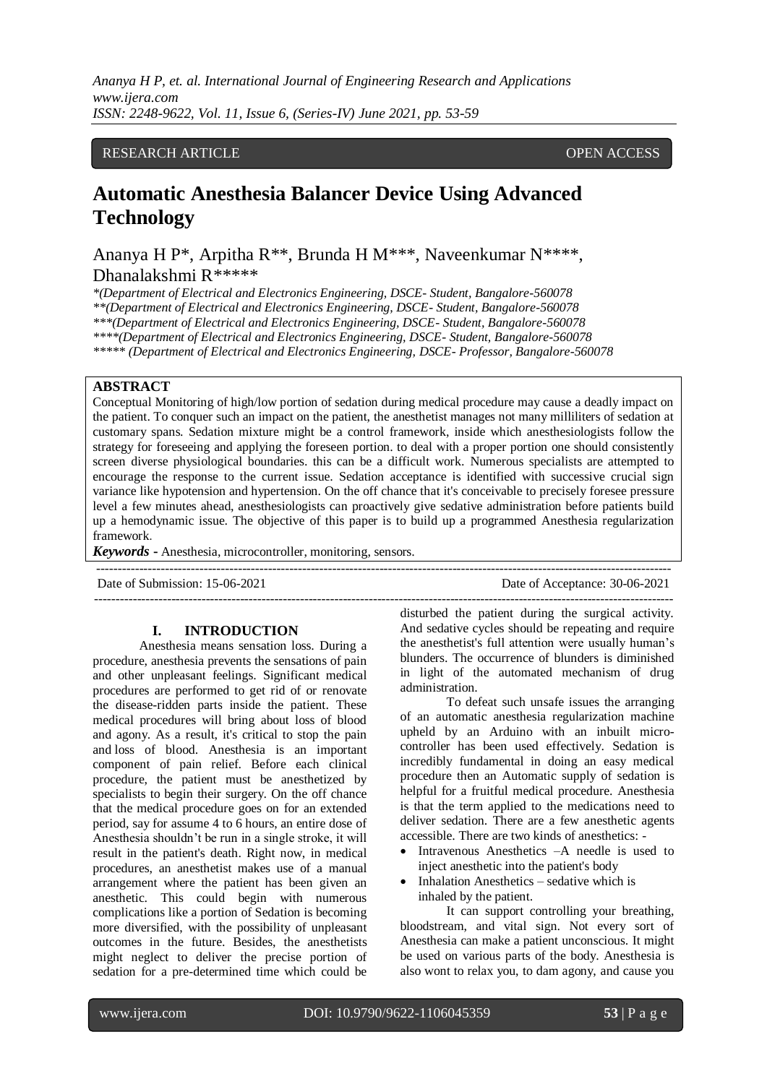## RESEARCH ARTICLE **CONTRACT ARTICLE**

# **Automatic Anesthesia Balancer Device Using Advanced Technology**

Ananya H P\*, Arpitha R\*\*, Brunda H M\*\*\*, Naveenkumar N\*\*\*\*, Dhanalakshmi R\*\*\*\*\*

*\*(Department of Electrical and Electronics Engineering, DSCE- Student, Bangalore-560078 \*\*(Department of Electrical and Electronics Engineering, DSCE- Student, Bangalore-560078 \*\*\*(Department of Electrical and Electronics Engineering, DSCE- Student, Bangalore-560078 \*\*\*\*(Department of Electrical and Electronics Engineering, DSCE- Student, Bangalore-560078 \*\*\*\*\* (Department of Electrical and Electronics Engineering, DSCE- Professor, Bangalore-560078*

#### **ABSTRACT**

Conceptual Monitoring of high/low portion of sedation during medical procedure may cause a deadly impact on the patient. To conquer such an impact on the patient, the anesthetist manages not many milliliters of sedation at customary spans. Sedation mixture might be a control framework, inside which anesthesiologists follow the strategy for foreseeing and applying the foreseen portion. to deal with a proper portion one should consistently screen diverse physiological boundaries. this can be a difficult work. Numerous specialists are attempted to encourage the response to the current issue. Sedation acceptance is identified with successive crucial sign variance like hypotension and hypertension. On the off chance that it's conceivable to precisely foresee pressure level a few minutes ahead, anesthesiologists can proactively give sedative administration before patients build up a hemodynamic issue. The objective of this paper is to build up a programmed Anesthesia regularization framework.

*Keywords* **-** Anesthesia, microcontroller, monitoring, sensors.

Date of Submission: 15-06-2021 Date of Acceptance: 30-06-2021

---------------------------------------------------------------------------------------------------------------------------------------

### **I. INTRODUCTION**

Anesthesia means sensation loss. During a procedure, anesthesia prevents the sensations of pain and other unpleasant feelings. Significant medical procedures are performed to get rid of or renovate the disease-ridden parts inside the patient. These medical procedures will bring about loss of blood and agony. As a result, it's critical to stop the pain and loss of blood. Anesthesia is an important component of pain relief. Before each clinical procedure, the patient must be anesthetized by specialists to begin their surgery. On the off chance that the medical procedure goes on for an extended period, say for assume 4 to 6 hours, an entire dose of Anesthesia shouldn't be run in a single stroke, it will result in the patient's death. Right now, in medical procedures, an anesthetist makes use of a manual arrangement where the patient has been given an anesthetic. This could begin with numerous complications like a portion of Sedation is becoming more diversified, with the possibility of unpleasant outcomes in the future. Besides, the anesthetists might neglect to deliver the precise portion of sedation for a pre-determined time which could be

disturbed the patient during the surgical activity. And sedative cycles should be repeating and require the anesthetist's full attention were usually human's blunders. The occurrence of blunders is diminished in light of the automated mechanism of drug administration.

--------------------------------------------------------------------------------------------------------------------------------------

To defeat such unsafe issues the arranging of an automatic anesthesia regularization machine upheld by an Arduino with an inbuilt microcontroller has been used effectively. Sedation is incredibly fundamental in doing an easy medical procedure then an Automatic supply of sedation is helpful for a fruitful medical procedure. Anesthesia is that the term applied to the medications need to deliver sedation. There are a few anesthetic agents accessible. There are two kinds of anesthetics: -

- Intravenous Anesthetics –A needle is used to inject anesthetic into the patient's body
- Inhalation Anesthetics sedative which is inhaled by the patient.

It can support controlling your breathing, bloodstream, and vital sign. Not every sort of Anesthesia can make a patient unconscious. It might be used on various parts of the body. Anesthesia is also wont to relax you, to dam agony, and cause you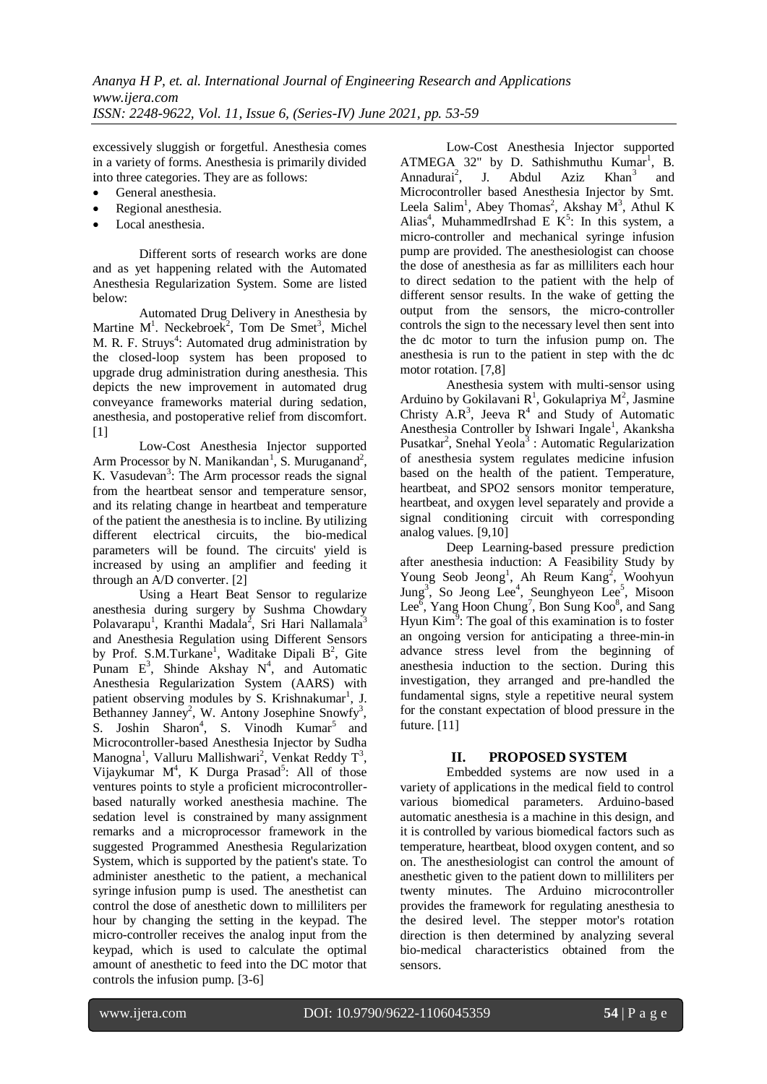excessively sluggish or forgetful. Anesthesia comes in a variety of forms. Anesthesia is primarily divided into three categories. They are as follows:

- General anesthesia.
- Regional anesthesia.
- Local anesthesia.

Different sorts of research works are done and as yet happening related with the Automated Anesthesia Regularization System. Some are listed below:

Automated Drug Delivery in Anesthesia by Martine  $M^1$ . Neckebroek<sup>2</sup>, Tom De Smet<sup>3</sup>, Michel M. R. F. Struys<sup>4</sup>: Automated drug administration by the closed-loop system has been proposed to upgrade drug administration during anesthesia. This depicts the new improvement in automated drug conveyance frameworks material during sedation, anesthesia, and postoperative relief from discomfort. [1]

Low-Cost Anesthesia Injector supported Arm Processor by N. Manikandan<sup>1</sup>, S. Muruganand<sup>2</sup>, K. Vasudevan<sup>3</sup>: The Arm processor reads the signal from the heartbeat sensor and temperature sensor, and its relating change in heartbeat and temperature of the patient the anesthesia is to incline. By utilizing different electrical circuits, the bio-medical parameters will be found. The circuits' yield is increased by using an amplifier and feeding it through an A/D converter. [2]

Using a Heart Beat Sensor to regularize anesthesia during surgery by Sushma Chowdary Polavarapu<sup>1</sup>, Kranthi Madala<sup>2</sup>, Sri Hari Nallamala<sup>3</sup> and Anesthesia Regulation using Different Sensors by Prof. S.M.Turkane<sup>1</sup>, Waditake Dipali B<sup>2</sup>, Gite Punam  $E^3$ , Shinde Akshay  $N^4$ , and Automatic Anesthesia Regularization System (AARS) with patient observing modules by S. Krishnakumar<sup>1</sup>, J. Bethanney Janney<sup>2</sup>, W. Antony Josephine Snowfy<sup>3</sup>, S. Joshin Sharon<sup>4</sup>, S. Vinodh Kumar<sup>5</sup> and Microcontroller-based Anesthesia Injector by Sudha Manogna<sup>1</sup>, Valluru Mallishwari<sup>2</sup>, Venkat Reddy T<sup>3</sup>, Vijaykumar M<sup>4</sup>, K Durga Prasad<sup>5</sup>: All of those ventures points to style a proficient microcontrollerbased naturally worked anesthesia machine. The sedation level is constrained by many assignment remarks and a microprocessor framework in the suggested Programmed Anesthesia Regularization System, which is supported by the patient's state. To administer anesthetic to the patient, a mechanical syringe infusion pump is used. The anesthetist can control the dose of anesthetic down to milliliters per hour by changing the setting in the keypad. The micro-controller receives the analog input from the keypad, which is used to calculate the optimal amount of anesthetic to feed into the DC motor that controls the infusion pump. [3-6]

Low-Cost Anesthesia Injector supported ATMEGA 32" by D. Sathishmuthu Kumar<sup>1</sup>, B. Annadurai<sup>2</sup>, J. Abdul Aziz Khan<sup>3</sup> and Microcontroller based Anesthesia Injector by Smt. Leela Salim<sup>1</sup>, Abey Thomas<sup>2</sup>, Akshay  $M^3$ , Athul K Alias<sup>4</sup>, MuhammedIrshad E  $K^5$ : In this system, a micro-controller and mechanical syringe infusion pump are provided. The anesthesiologist can choose the dose of anesthesia as far as milliliters each hour to direct sedation to the patient with the help of different sensor results. In the wake of getting the output from the sensors, the micro-controller controls the sign to the necessary level then sent into the dc motor to turn the infusion pump on. The anesthesia is run to the patient in step with the dc motor rotation. [7,8]

Anesthesia system with multi-sensor using Arduino by Gokilavani  $R^1$ , Gokulapriya M<sup>2</sup>, Jasmine Christy  $A.R^3$ , Jeeva  $R^4$  and Study of Automatic Anesthesia Controller by Ishwari Ingale<sup>1</sup>, Akanksha Pusatkar<sup>2</sup>, Snehal Yeola<sup>3</sup>: Automatic Regularization of anesthesia system regulates medicine infusion based on the health of the patient. Temperature, heartbeat, and SPO<sub>2</sub> sensors monitor temperature, heartbeat, and oxygen level separately and provide a signal conditioning circuit with corresponding analog values. [9,10]

Deep Learning-based pressure prediction after anesthesia induction: A Feasibility Study by Young Seob Jeong<sup>1</sup>, Ah Reum Kang<sup>2</sup>, Woohyun  $Jung<sup>3</sup>$ , So Jeong Lee<sup>4</sup>, Seunghyeon Lee<sup>5</sup>, Misoon Lee<sup> $\overline{6}$ </sup>, Yang Hoon Chung<sup>7</sup>, Bon Sung Koo<sup>8</sup>, and Sang Hyun  $Kim<sup>9</sup>$ : The goal of this examination is to foster an ongoing version for anticipating a three-min-in advance stress level from the beginning of anesthesia induction to the section. During this investigation, they arranged and pre-handled the fundamental signs, style a repetitive neural system for the constant expectation of blood pressure in the future. [11]

## **II. PROPOSED SYSTEM**

Embedded systems are now used in a variety of applications in the medical field to control various biomedical parameters. Arduino-based automatic anesthesia is a machine in this design, and it is controlled by various biomedical factors such as temperature, heartbeat, blood oxygen content, and so on. The anesthesiologist can control the amount of anesthetic given to the patient down to milliliters per twenty minutes. The Arduino microcontroller provides the framework for regulating anesthesia to the desired level. The stepper motor's rotation direction is then determined by analyzing several bio-medical characteristics obtained from the sensors.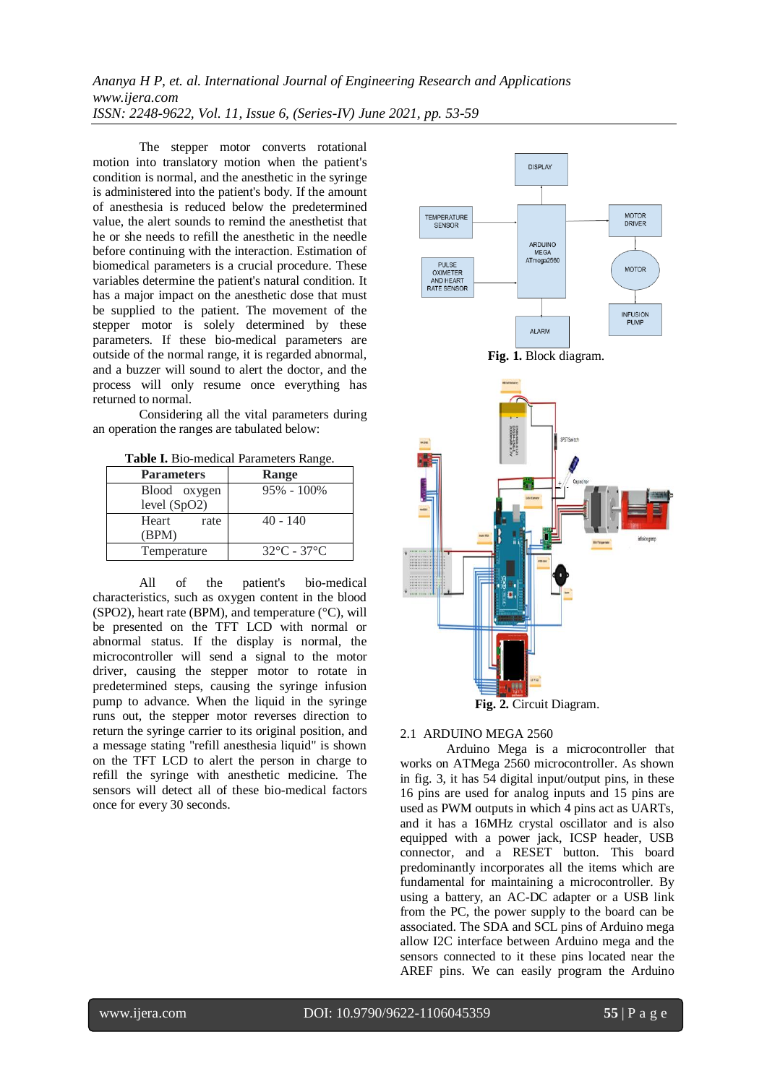The stepper motor converts rotational motion into translatory motion when the patient's condition is normal, and the anesthetic in the syringe is administered into the patient's body. If the amount of anesthesia is reduced below the predetermined value, the alert sounds to remind the anesthetist that he or she needs to refill the anesthetic in the needle before continuing with the interaction. Estimation of biomedical parameters is a crucial procedure. These variables determine the patient's natural condition. It has a major impact on the anesthetic dose that must be supplied to the patient. The movement of the stepper motor is solely determined by these parameters. If these bio-medical parameters are outside of the normal range, it is regarded abnormal, and a buzzer will sound to alert the doctor, and the process will only resume once everything has returned to normal.

Considering all the vital parameters during an operation the ranges are tabulated below:

**Table I.** Bio-medical Parameters Range.

| <b>Parameters</b>            | <b>Range</b>                     |
|------------------------------|----------------------------------|
| Blood oxygen<br>level (SpO2) | $95\% - 100\%$                   |
| Heart<br>rate<br>(BPM)       | $40 - 140$                       |
| Temperature                  | $32^{\circ}$ C - 37 $^{\circ}$ C |

All of the patient's bio-medical characteristics, such as oxygen content in the blood (SPO2), heart rate (BPM), and temperature (°C), will be presented on the TFT LCD with normal or abnormal status. If the display is normal, the microcontroller will send a signal to the motor driver, causing the stepper motor to rotate in predetermined steps, causing the syringe infusion pump to advance. When the liquid in the syringe runs out, the stepper motor reverses direction to return the syringe carrier to its original position, and a message stating "refill anesthesia liquid" is shown on the TFT LCD to alert the person in charge to refill the syringe with anesthetic medicine. The sensors will detect all of these bio-medical factors once for every 30 seconds.



#### 2.1 ARDUINO MEGA 2560

Arduino Mega is a microcontroller that works on ATMega 2560 microcontroller. As shown in fig. 3, it has 54 digital input/output pins, in these 16 pins are used for analog inputs and 15 pins are used as PWM outputs in which 4 pins act as UARTs, and it has a 16MHz crystal oscillator and is also equipped with a power jack, ICSP header, USB connector, and a RESET button. This board predominantly incorporates all the items which are fundamental for maintaining a microcontroller. By using a battery, an AC-DC adapter or a USB link from the PC, the power supply to the board can be associated. The SDA and SCL pins of Arduino mega allow I2C interface between Arduino mega and the sensors connected to it these pins located near the AREF pins. We can easily program the Arduino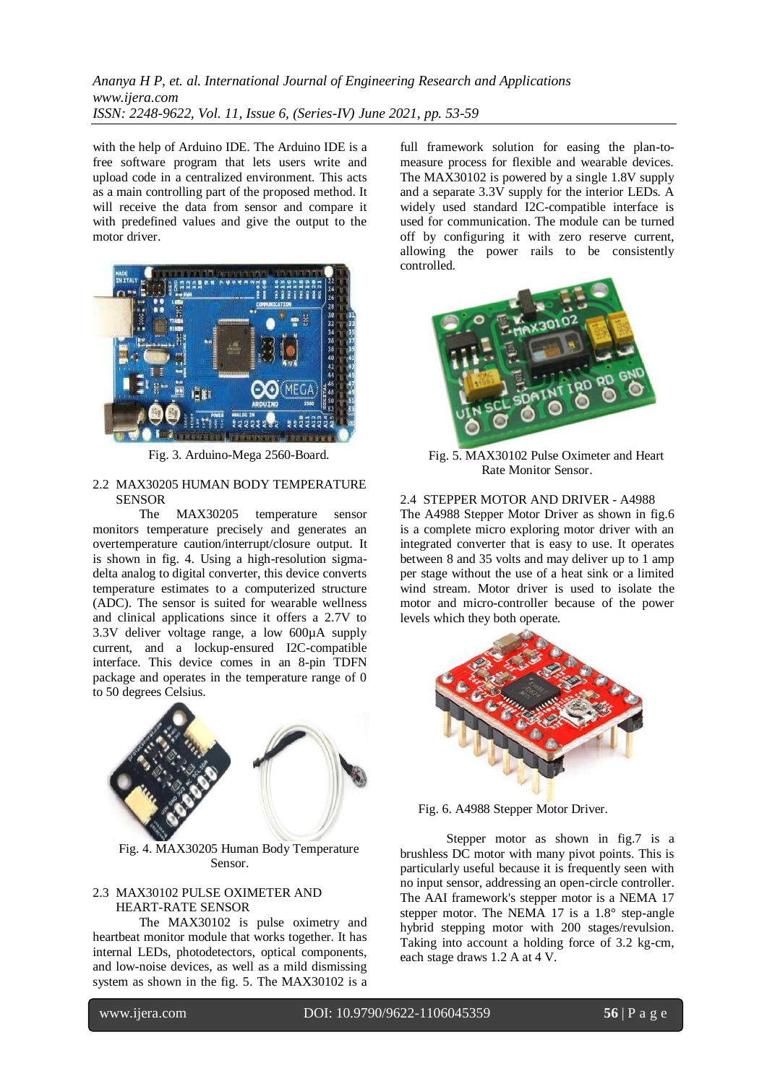with the help of Arduino IDE. The Arduino IDE is a free software program that lets users write and upload code in a centralized environment. This acts as a main controlling part of the proposed method. It will receive the data from sensor and compare it with predefined values and give the output to the motor driver.



Fig. 3. Arduino-Mega 2560-Board.

#### 2.2 MAX30205 HUMAN BODY TEMPERATURE **SENSOR**

The MAX30205 temperature sensor monitors temperature precisely and generates an overtemperature caution/interrupt/closure output. It is shown in fig. 4. Using a high-resolution sigmadelta analog to digital converter, this device converts temperature estimates to a computerized structure (ADC). The sensor is suited for wearable wellness and clinical applications since it offers a 2.7V to 3.3V deliver voltage range, a low 600µA supply current, and a lockup-ensured I2C-compatible interface. This device comes in an 8-pin TDFN package and operates in the temperature range of 0 to 50 degrees Celsius.



Fig. 4. MAX30205 Human Body Temperature Sensor.

#### 2.3 MAX30102 PULSE OXIMETER AND HEART-RATE SENSOR

The MAX30102 is pulse oximetry and heartbeat monitor module that works together. It has internal LEDs, photodetectors, optical components, and low-noise devices, as well as a mild dismissing system as shown in the fig. 5. The MAX30102 is a full framework solution for easing the plan-tomeasure process for flexible and wearable devices. The MAX30102 is powered by a single 1.8V supply and a separate 3.3V supply for the interior LEDs. A widely used standard I2C-compatible interface is used for communication. The module can be turned off by configuring it with zero reserve current, allowing the power rails to be consistently controlled.



Fig. 5. MAX30102 Pulse Oximeter and Heart Rate Monitor Sensor.

2.4 STEPPER MOTOR AND DRIVER - A4988 The A4988 Stepper Motor Driver as shown in fig.6 is a complete micro exploring motor driver with an integrated converter that is easy to use. It operates between 8 and 35 volts and may deliver up to 1 amp per stage without the use of a heat sink or a limited wind stream. Motor driver is used to isolate the motor and micro-controller because of the power levels which they both operate.



Fig. 6. A4988 Stepper Motor Driver.

Stepper motor as shown in fig.7 is a brushless DC motor with many pivot points. This is particularly useful because it is frequently seen with no input sensor, addressing an open-circle controller. The AAI framework's stepper motor is a NEMA 17 stepper motor. The NEMA 17 is a 1.8° step-angle hybrid stepping motor with 200 stages/revulsion. Taking into account a holding force of 3.2 kg-cm, each stage draws 1.2 A at 4 V.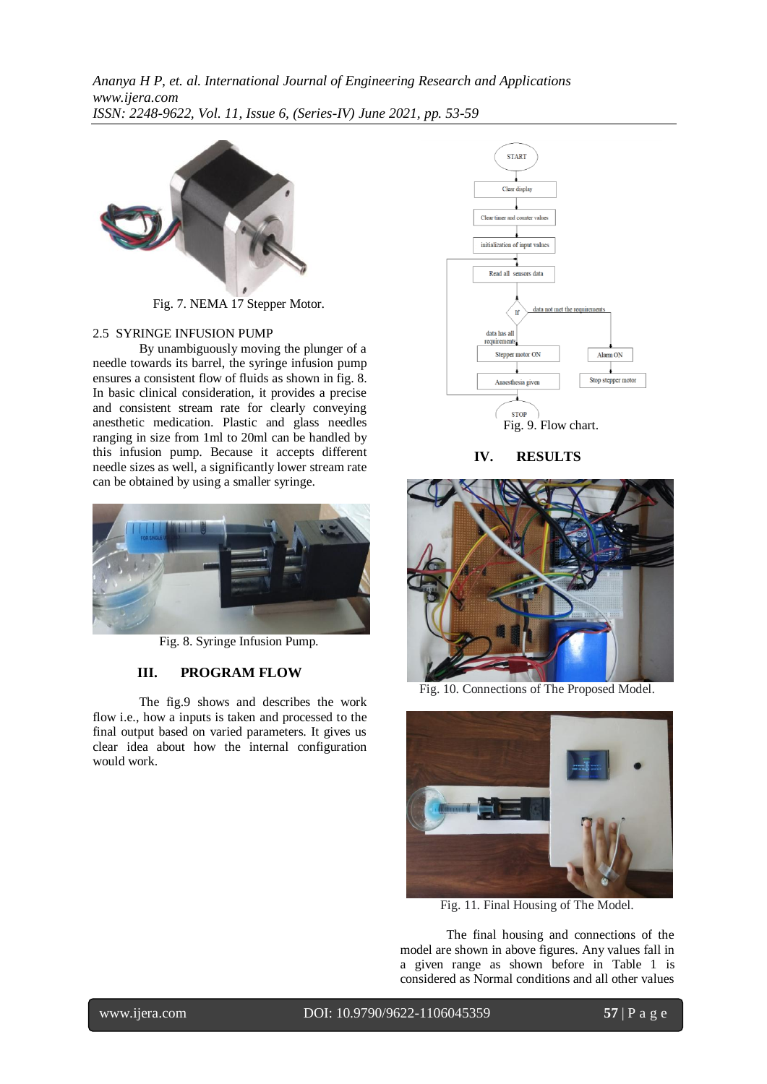

Fig. 7. NEMA 17 Stepper Motor.

### 2.5 SYRINGE INFUSION PUMP

By unambiguously moving the plunger of a needle towards its barrel, the syringe infusion pump ensures a consistent flow of fluids as shown in fig. 8. In basic clinical consideration, it provides a precise and consistent stream rate for clearly conveying anesthetic medication. Plastic and glass needles ranging in size from 1ml to 20ml can be handled by this infusion pump. Because it accepts different needle sizes as well, a significantly lower stream rate can be obtained by using a smaller syringe.



Fig. 8. Syringe Infusion Pump.

## **III. PROGRAM FLOW**

The fig.9 shows and describes the work flow i.e., how a inputs is taken and processed to the final output based on varied parameters. It gives us clear idea about how the internal configuration would work.



**IV. RESULTS**



Fig. 10. Connections of The Proposed Model.



Fig. 11. Final Housing of The Model.

The final housing and connections of the model are shown in above figures. Any values fall in a given range as shown before in Table 1 is considered as Normal conditions and all other values

www.ijera.com DOI: 10.9790/9622-1106045359 **57** | P a g e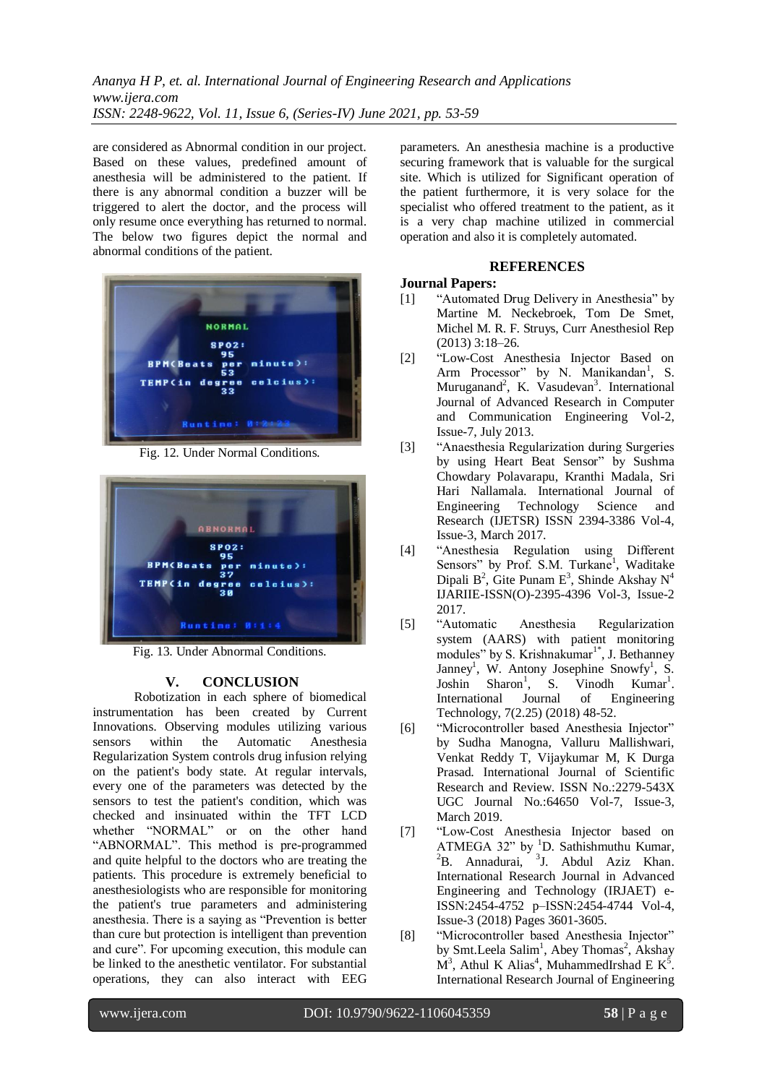are considered as Abnormal condition in our project. Based on these values, predefined amount of anesthesia will be administered to the patient. If there is any abnormal condition a buzzer will be triggered to alert the doctor, and the process will only resume once everything has returned to normal. The below two figures depict the normal and abnormal conditions of the patient.



Fig. 12. Under Normal Conditions.



Fig. 13. Under Abnormal Conditions.

#### **V. CONCLUSION**

Robotization in each sphere of biomedical instrumentation has been created by Current Innovations. Observing modules utilizing various sensors within the Automatic Anesthesia Regularization System controls drug infusion relying on the patient's body state. At regular intervals, every one of the parameters was detected by the sensors to test the patient's condition, which was checked and insinuated within the TFT LCD whether "NORMAL" or on the other hand "ABNORMAL". This method is pre-programmed and quite helpful to the doctors who are treating the patients. This procedure is extremely beneficial to anesthesiologists who are responsible for monitoring the patient's true parameters and administering anesthesia. There is a saying as "Prevention is better than cure but protection is intelligent than prevention and cure". For upcoming execution, this module can be linked to the anesthetic ventilator. For substantial operations, they can also interact with EEG

parameters. An anesthesia machine is a productive securing framework that is valuable for the surgical site. Which is utilized for Significant operation of the patient furthermore, it is very solace for the specialist who offered treatment to the patient, as it is a very chap machine utilized in commercial operation and also it is completely automated.

#### **REFERENCES**

### **Journal Papers:**

- [1] "Automated Drug Delivery in Anesthesia" by Martine M. Neckebroek, Tom De Smet, Michel M. R. F. Struys, Curr Anesthesiol Rep (2013) 3:18–26.
- [2] "Low-Cost Anesthesia Injector Based on Arm Processor" by N. Manikandan<sup>1</sup>, S. Muruganand<sup>2</sup>, K. Vasudevan<sup>3</sup>. International Journal of Advanced Research in Computer and Communication Engineering Vol-2, Issue-7, July 2013.
- [3] "Anaesthesia Regularization during Surgeries by using Heart Beat Sensor" by Sushma Chowdary Polavarapu, Kranthi Madala, Sri Hari Nallamala. International Journal of Engineering Technology Science and Research (IJETSR) ISSN 2394-3386 Vol-4, Issue-3, March 2017.
- [4] "Anesthesia Regulation using Different Sensors" by Prof. S.M. Turkane<sup>1</sup>, Waditake Dipali  $B^2$ , Gite Punam  $E^3$ , Shinde Akshay  $N^4$ IJARIIE-ISSN(O)-2395-4396 Vol-3, Issue-2
- 2017.<br>"Automatic [5] "Automatic Anesthesia Regularization system (AARS) with patient monitoring modules" by S. Krishnakumar $1^*$ , J. Bethanney Janney<sup>1</sup>, W. Antony Josephine Snowfy<sup>1</sup>, S. Joshin Sharon<sup>1</sup>, S. , S. Vinodh Kumar<sup>1</sup>. International Journal of Engineering Technology, 7(2.25) (2018) 48-52.
- [6] "Microcontroller based Anesthesia Injector" by Sudha Manogna, Valluru Mallishwari, Venkat Reddy T, Vijaykumar M, K Durga Prasad. International Journal of Scientific Research and Review. ISSN No.:2279-543X UGC Journal No.:64650 Vol-7, Issue-3, March 2019.
- [7] "Low-Cost Anesthesia Injector based on ATMEGA 32" by  ${}^{1}D$ . Sathishmuthu Kumar,  ${}^{2}$ B. Annadurai,  ${}^{3}$ J. Abdul Aziz Khan. International Research Journal in Advanced Engineering and Technology (IRJAET) e-ISSN:2454-4752 p–ISSN:2454-4744 Vol-4, Issue-3 (2018) Pages 3601-3605.
- [8] "Microcontroller based Anesthesia Injector" by Smt.Leela Salim<sup>1</sup>, Abey Thomas<sup>2</sup>, Akshay  $\mathbf{M}^3$ , Athul K Alias<sup>4</sup>, MuhammedIrshad E  $\mathbf{K}^5$ . International Research Journal of Engineering